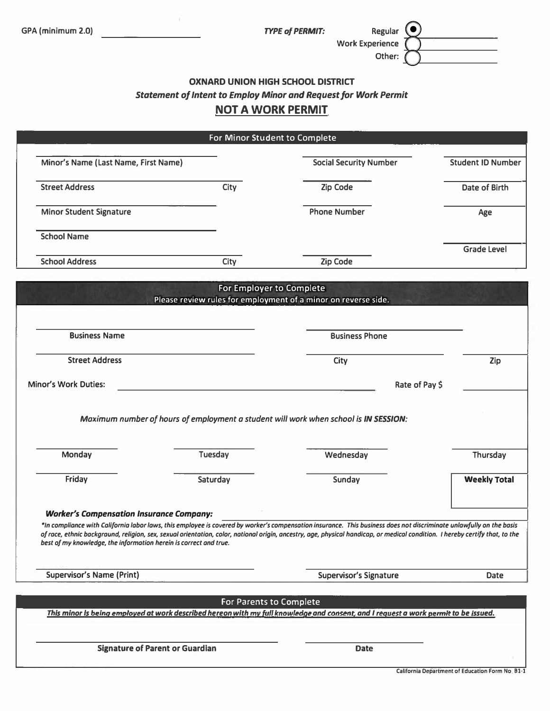Work Experience ( Regular Other:

# $\frac{\odot}{\odot}$ OXNARD UNION HIGH SCHOOL DISTRICT Statement of Intent to Employ Minor and Request for Work Permit

## NOT A WORK PERMIT

| For Minor Student to Complete                                                                                                                                                                                                                                                                                                                                                                                                                                               |                                                                                            |                                                                                      |                          |  |  |
|-----------------------------------------------------------------------------------------------------------------------------------------------------------------------------------------------------------------------------------------------------------------------------------------------------------------------------------------------------------------------------------------------------------------------------------------------------------------------------|--------------------------------------------------------------------------------------------|--------------------------------------------------------------------------------------|--------------------------|--|--|
| Minor's Name (Last Name, First Name)                                                                                                                                                                                                                                                                                                                                                                                                                                        |                                                                                            | <b>Social Security Number</b>                                                        | <b>Student ID Number</b> |  |  |
| <b>Street Address</b>                                                                                                                                                                                                                                                                                                                                                                                                                                                       | City                                                                                       | Zip Code                                                                             | Date of Birth            |  |  |
| <b>Minor Student Signature</b>                                                                                                                                                                                                                                                                                                                                                                                                                                              |                                                                                            | <b>Phone Number</b>                                                                  | Age                      |  |  |
| <b>School Name</b>                                                                                                                                                                                                                                                                                                                                                                                                                                                          |                                                                                            |                                                                                      | <b>Grade Level</b>       |  |  |
| <b>School Address</b>                                                                                                                                                                                                                                                                                                                                                                                                                                                       | City                                                                                       | Zip Code                                                                             |                          |  |  |
|                                                                                                                                                                                                                                                                                                                                                                                                                                                                             | For Employer to Complete<br>Please review rules for employment of a minor on reverse side. |                                                                                      |                          |  |  |
| <b>Business Name</b>                                                                                                                                                                                                                                                                                                                                                                                                                                                        |                                                                                            | <b>Business Phone</b>                                                                |                          |  |  |
| <b>Street Address</b>                                                                                                                                                                                                                                                                                                                                                                                                                                                       |                                                                                            | City                                                                                 | Zip                      |  |  |
| <b>Minor's Work Duties:</b>                                                                                                                                                                                                                                                                                                                                                                                                                                                 |                                                                                            | Rate of Pay \$                                                                       |                          |  |  |
|                                                                                                                                                                                                                                                                                                                                                                                                                                                                             |                                                                                            | Maximum number of hours of employment a student will work when school is IN SESSION: |                          |  |  |
| Monday                                                                                                                                                                                                                                                                                                                                                                                                                                                                      | Tuesday                                                                                    | Wednesday                                                                            | Thursday                 |  |  |
| Friday                                                                                                                                                                                                                                                                                                                                                                                                                                                                      | Saturday                                                                                   | Sunday                                                                               | <b>Weekly Total</b>      |  |  |
| <b>Worker's Compensation Insurance Company:</b><br>*In compliance with California labor laws, this employee is covered by worker's compensation insurance. This business does not discriminate unlawfully on the basis<br>of race, ethnic backgraund, religion, sex, sexual orientation, color, national origin, ancestry, age, physical handicap, or medical condition. I hereby certify that, to the<br>best of my knowledge, the information herein is correct and true. |                                                                                            |                                                                                      |                          |  |  |
| <b>Supervisor's Name (Print)</b>                                                                                                                                                                                                                                                                                                                                                                                                                                            |                                                                                            | <b>Supervisor's Signature</b>                                                        | <b>Date</b>              |  |  |
| For Parents to Complete<br>This minor Is being employed at work described hereon with my full knowledge and consent, and I request a work permit to be issued.                                                                                                                                                                                                                                                                                                              |                                                                                            |                                                                                      |                          |  |  |
|                                                                                                                                                                                                                                                                                                                                                                                                                                                                             | <b>Signature of Parent or Guardian</b>                                                     | <b>Date</b>                                                                          |                          |  |  |

California Department of Education Form No. 81-1